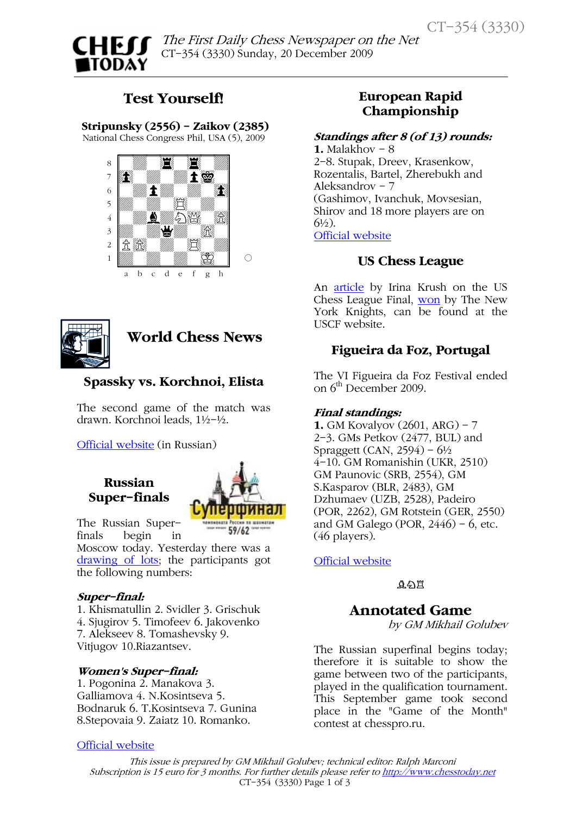# **CHEIT** TODAY

 $\mathbf{r}$ The First Daily Chess Newspaper on the Net CT-354 (3330) Sunday, 20 December 2009

## Test Yourself!

 Stripunsky (2556) - Zaikov (2385) National Chess Congress Phil, USA (5), 2009





World Chess News

## Spassky vs. Korchnoi, Elista

The second game of the match was drawn. Korchnoi leads, 1½-½.

[Official website \(](http://www.kalmchess.ru/)in Russian)

## Russian Super-finals



The Russian Superfinals begin in

Moscow today. Yesterday there was a [drawing of lots;](http://tal.russiachess.org/content/view/4270/401/) the participants got the following numbers:

#### Super-final:

1. Khismatullin 2. Svidler 3. Grischuk 4. Sjugirov 5. Timofeev 6. Jakovenko 7. Alekseev 8. Tomashevsky 9. Vitjugov 10.Riazantsev.

#### Women's Super-final:

1. Pogonina 2. Manakova 3. Galliamova 4. N.Kosintseva 5. Bodnaruk 6. T.Kosintseva 7. Gunina 8.Stepovaia 9. Zaiatz 10. Romanko.

#### [Official website](http://tal.russiachess.org/)

## European Rapid Championship

#### Standings after 8 (of 13) rounds:

1. Malakhov  $-8$ 2-8. Stupak, Dreev, Krasenkow, Rozentalis, Bartel, Zherebukh and Aleksandrov - 7 (Gashimov, Ivanchuk, Movsesian, Shirov and 18 more players are on  $6\frac{1}{2}$ . [Official website](http://www.poloniachess.pl/amplico2009/results/list_of_players.html)

## US Chess League

An [article](http://main.uschess.org/content/view/9937/565/) by Irina Krush on the US Chess League Final[, won](http://www.uschessleague.com/12072009uyfj.html) by The New York Knights, can be found at the USCF website.

## Figueira da Foz, Portugal

The VI Figueira da Foz Festival ended on 6<sup>th</sup> December 2009.

#### Final standings:

1. GM Kovalyov (2601, ARG) – 7 2-3. GMs Petkov (2477, BUL) and Spraggett (CAN,  $2594$ ) –  $6\frac{1}{2}$ 4-10. GM Romanishin (UKR, 2510) GM Paunovic (SRB, 2554), GM S.Kasparov (BLR, 2483), GM Dzhumaev (UZB, 2528), Padeiro (POR, 2262), GM Rotstein (GER, 2550) and GM Galego (POR,  $2446$ ) – 6, etc. (46 players).

[Official website](http://xadrez.nafigueira.com/paginas/abertura.php)

¥¤¦

## Annotated Game

by GM Mikhail Golubev

The Russian superfinal begins today; therefore it is suitable to show the game between two of the participants, played in the qualification tournament. This September game took second place in the "Game of the Month" contest at chesspro.ru.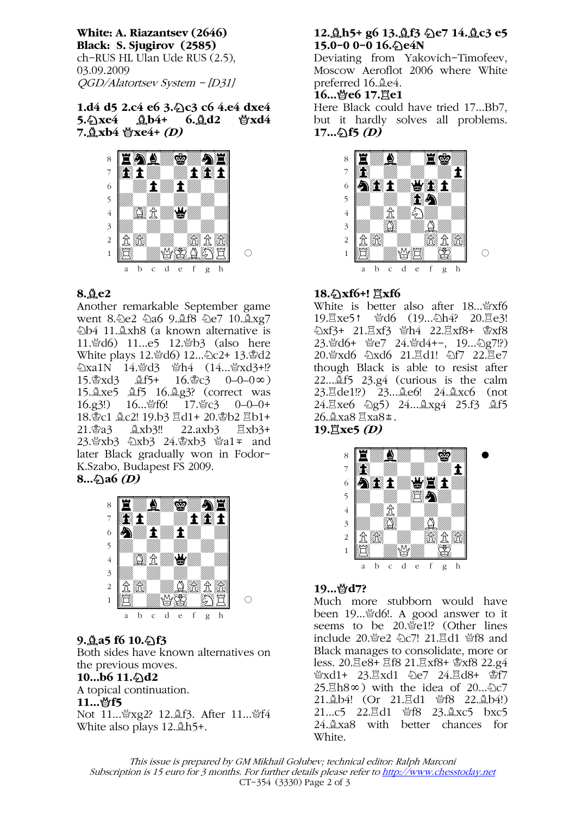White: A. Riazantsev (2646) Black: S. Sjugirov (2585) ch-RUS HL Ulan Ude RUS (2.5), 03.09.2009 QGD/Alatortsev System - [D31]

#### 1.d4 d5 2.c4 e6 3. < c3 c6 4.e4 dxe4  $5.\&\text{xe4} \quad \&\text{b4+} \quad 6.\&\text{d2} \quad \&\text{xd4}$  $7.\overset{\circ}{\mathbf{\Delta}}$ xb4  $\overset{\circ}{\mathbf{\mathbf{\hat{x}}}$ xe4+ (D)



#### 8.¥e2

Another remarkable September game went 8.2e2 2a6 9.4f8 2e7 10.4xg7 ¤b4 11.¥xh8 (a known alternative is 11.營d6) 11...e5 12.營b3 (also here White plays 12. td6) 12... 2c2+ 13. \$d2  $\Delta$ xa1N 14. $\Delta$ d3  $\Delta$ h4 (14... $\Delta$ xd3+!?  $15.\&\text{xd3}$   $\&\text{f5+}$   $16.\&\text{c3}$   $0-0-0\infty$ ) 15. <u>Axe5</u> Af5 16. Ag3? (correct was 16.g3!) 16... 曾f6! 17. 曾c3 0-0-0+ 18. c1 2c2! 19.b3 且d1 + 20. sb2 且b1 + 21.\$a3  $\&$ xb3!! 22.axb3  $\&$ xb3+ 23. \$xb3 24. \$xb3 \$a1 = and later Black gradually won in Fodor-K.Szabo, Budapest FS 2009.  $8...2a6$  (D)

#### $\overline{\phantom{a}}$ 8 H*ima wa* mat  $7$   $x_1$   $x_2$  $\overline{\bullet}$  and  $\overline{\bullet}$  the  $\overline{\bullet}$ 5+-+-+-+-0  $4$  $4$ 3+-+-+-+-0  $2$   $R$  $\frac{1}{\mathbb{E}}$  ( $\frac{1}{\mathbb{E}}$   $\frac{1}{\mathbb{E}}$   $\frac{1}{\mathbb{E}}$   $\frac{1}{\mathbb{E}}$   $\frac{1}{\mathbb{E}}$   $\frac{1}{\mathbb{E}}$   $\frac{1}{\mathbb{E}}$   $\frac{1}{\mathbb{E}}$   $\frac{1}{\mathbb{E}}$   $\frac{1}{\mathbb{E}}$   $\frac{1}{\mathbb{E}}$   $\frac{1}{\mathbb{E}}$   $\frac{1}{\mathbb{E}}$   $\frac{1}{\mathbb{E}}$   $\frac{1}{\mathbb{$ a b c d e f g h

#### $9.4a5f610.$   $f3$

Both sides have known alternatives on the previous moves.

#### $10...b6$   $11.\text{\textdegree$\triangle$}d2$ A topical continuation.

#### 11...*曾f5*

Not 11... 營xg2? 12. f3. After 11... 營f4 White also plays  $12.\n <sup>4</sup>h5+$ .

#### 12. Åh5+ g6 13. Åf3 < e7 14. Åc3 e5 15.0–0 0–0 16. $\Diamond$ e4N

Deviating from Yakovich-Timofeev, Moscow Aeroflot 2006 where White preferred 16. $\&$ e4.

#### 16...營e6 17.買e1

Here Black could have tried 17...Bb7, but it hardly solves all problems.  $17...\&15(D)$ 



#### 18.4xf6+!  $\Xi$ xf6

White is better also after 18... ¥xf6 19. xe5↑ 營d6 (19... 2h4? 20. de3!  $2xf3+21.$  $\Xi xf3$   $\Theta$ h4 22. $\Xi xf8+ \Theta xf8$ 23. d6+ 曾e7 24. 曾d4+-, 19... 公g7!?) 20. Yxd6 2xd6 21. Ed1! 2f7 22. Ee7 though Black is able to resist after 22... $\tilde{\mathbb{A}}$  f5 23.g4 (curious is the calm 23.¦de1!?) 23...¥e6! 24.¥xc6 (not 24. $\Xi$ xe6  $\triangle$ g5) 24... $\triangle$ xg4 25.f3  $\triangle$ f5 26. xa8  $\Xi$ xa8 ±. 19. $\mathbb{E}$ xe5 (D)





#### 19... 營d7?

Much more stubborn would have been 19... ad6!. A good answer to it seems to be 20. e1!? (Other lines include 20.營e2 *公*c7! 21.2d1 營f8 and Black manages to consolidate, more or less. 20. 已e8+ 且f8 21. 且xf8+ 含xf8 22.g4 ₩xd1+ 23. xd1 2e7 24. Ed8+ \$f7  $25.\overline{\mathbb{Z}}$ h $8\infty$ ) with the idea of  $20...\overline{2}c7$ 21. b4! (Or 21. Ed1 營f8 22. b4!) 21...c5 22. d1 \f8 23. gxc5 bxc5 24.¥xa8 with better chances for White.